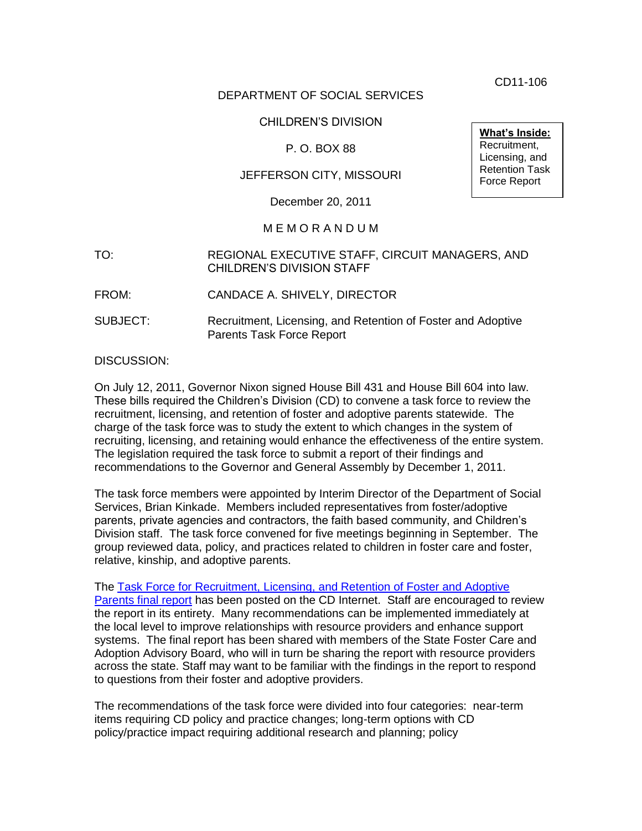CD11-106

# DEPARTMENT OF SOCIAL SERVICES

# CHILDREN'S DIVISION

# P. O. BOX 88

# JEFFERSON CITY, MISSOURI

December 20, 2011

#### M E M O R A N D U M

- TO: REGIONAL EXECUTIVE STAFF, CIRCUIT MANAGERS, AND CHILDREN'S DIVISION STAFF
- FROM: CANDACE A. SHIVELY, DIRECTOR
- SUBJECT: Recruitment, Licensing, and Retention of Foster and Adoptive Parents Task Force Report

#### DISCUSSION:

On July 12, 2011, Governor Nixon signed House Bill 431 and House Bill 604 into law. These bills required the Children's Division (CD) to convene a task force to review the recruitment, licensing, and retention of foster and adoptive parents statewide. The charge of the task force was to study the extent to which changes in the system of recruiting, licensing, and retaining would enhance the effectiveness of the entire system. The legislation required the task force to submit a report of their findings and recommendations to the Governor and General Assembly by December 1, 2011.

The task force members were appointed by Interim Director of the Department of Social Services, Brian Kinkade. Members included representatives from foster/adoptive parents, private agencies and contractors, the faith based community, and Children's Division staff. The task force convened for five meetings beginning in September. The group reviewed data, policy, and practices related to children in foster care and foster, relative, kinship, and adoptive parents.

The [Task Force for Recruitment, Licensing, and Retention of Foster and Adoptive](http://dss.mo.gov/cd/pdf/fc_report.pdf)  [Parents final report](http://dss.mo.gov/cd/pdf/fc_report.pdf) has been posted on the CD Internet. Staff are encouraged to review the report in its entirety. Many recommendations can be implemented immediately at the local level to improve relationships with resource providers and enhance support systems. The final report has been shared with members of the State Foster Care and Adoption Advisory Board, who will in turn be sharing the report with resource providers across the state. Staff may want to be familiar with the findings in the report to respond to questions from their foster and adoptive providers.

The recommendations of the task force were divided into four categories: near-term items requiring CD policy and practice changes; long-term options with CD policy/practice impact requiring additional research and planning; policy

**What's Inside:** Recruitment, Licensing, and Retention Task Force Report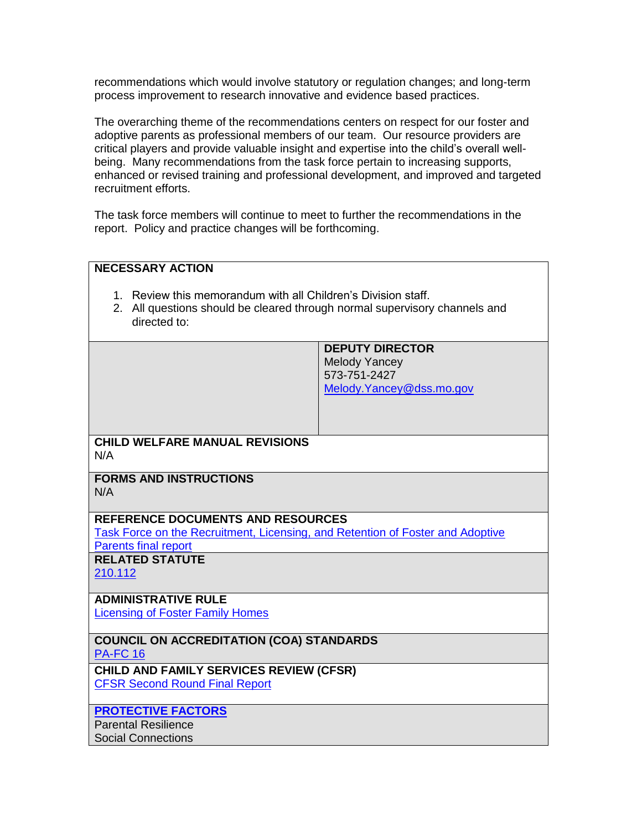recommendations which would involve statutory or regulation changes; and long-term process improvement to research innovative and evidence based practices.

The overarching theme of the recommendations centers on respect for our foster and adoptive parents as professional members of our team. Our resource providers are critical players and provide valuable insight and expertise into the child's overall wellbeing. Many recommendations from the task force pertain to increasing supports, enhanced or revised training and professional development, and improved and targeted recruitment efforts.

The task force members will continue to meet to further the recommendations in the report. Policy and practice changes will be forthcoming.

| <b>NECESSARY ACTION</b>                                                                                                                                     |                                                                                            |
|-------------------------------------------------------------------------------------------------------------------------------------------------------------|--------------------------------------------------------------------------------------------|
| 1. Review this memorandum with all Children's Division staff.<br>2. All questions should be cleared through normal supervisory channels and<br>directed to: |                                                                                            |
|                                                                                                                                                             | <b>DEPUTY DIRECTOR</b><br><b>Melody Yancey</b><br>573-751-2427<br>Melody.Yancey@dss.mo.gov |
| <b>CHILD WELFARE MANUAL REVISIONS</b><br>N/A                                                                                                                |                                                                                            |
| <b>FORMS AND INSTRUCTIONS</b><br>N/A                                                                                                                        |                                                                                            |
| <b>REFERENCE DOCUMENTS AND RESOURCES</b><br>Task Force on the Recruitment, Licensing, and Retention of Foster and Adoptive<br><b>Parents final report</b>   |                                                                                            |
| <b>RELATED STATUTE</b><br>210.112                                                                                                                           |                                                                                            |
| <b>ADMINISTRATIVE RULE</b><br><b>Licensing of Foster Family Homes</b>                                                                                       |                                                                                            |
| <b>COUNCIL ON ACCREDITATION (COA) STANDARDS</b><br><b>PA-FC 16</b>                                                                                          |                                                                                            |
| CHILD AND FAMILY SERVICES REVIEW (CFSR)<br><b>CFSR Second Round Final Report</b>                                                                            |                                                                                            |
| <b>PROTECTIVE FACTORS</b><br><b>Parental Resilience</b><br><b>Social Connections</b>                                                                        |                                                                                            |
|                                                                                                                                                             |                                                                                            |